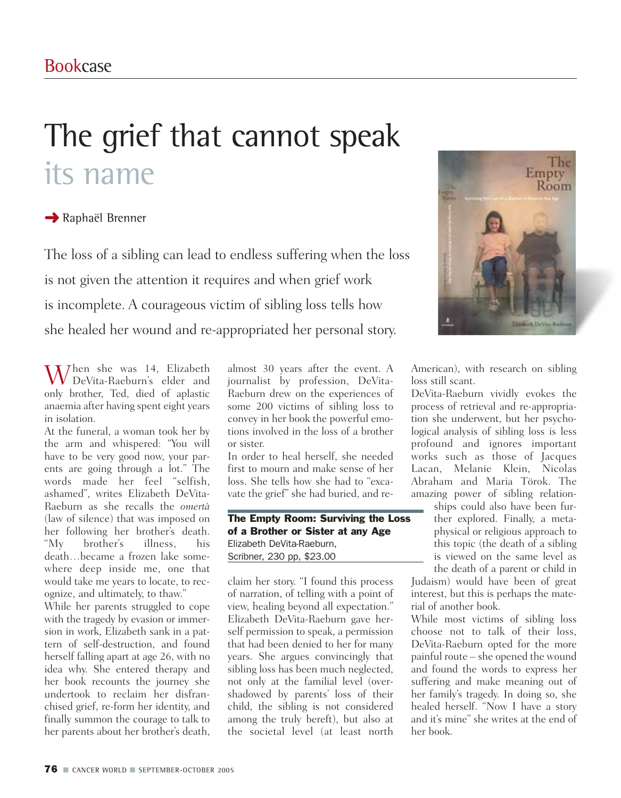## The grief that cannot speak its name

## **→ Raphaël Brenner**

The loss of a sibling can lead to endless suffering when the loss is not given the attention it requires and when grief work is incomplete. A courageous victim of sibling loss tells how she healed her wound and re-appropriated her personal story.



 $W_{\text{D-N}}^{\text{hen she was 14, Elizabeth}}$ DeVita-Raeburn's elder and only brother, Ted, died of aplastic anaemia after having spent eight years in isolation.

At the funeral, a woman took her by the arm and whispered: "You will have to be very good now, your parents are going through a lot." The words made her feel "selfish, ashamed", writes Elizabeth DeVita-Raeburn as she recalls the *omertà* (law of silence) that was imposed on her following her brother's death. "My brother's illness, his death…became a frozen lake somewhere deep inside me, one that would take me years to locate, to recognize, and ultimately, to thaw."

While her parents struggled to cope with the tragedy by evasion or immersion in work, Elizabeth sank in a pattern of self-destruction, and found herself falling apart at age 26, with no idea why. She entered therapy and her book recounts the journey she undertook to reclaim her disfranchised grief, re-form her identity, and finally summon the courage to talk to her parents about her brother's death,

almost 30 years after the event. A journalist by profession, DeVita-Raeburn drew on the experiences of some 200 victims of sibling loss to convey in her book the powerful emotions involved in the loss of a brother or sister.

In order to heal herself, she needed first to mourn and make sense of her loss. She tells how she had to "excavate the grief" she had buried, and re-

The Empty Room: Surviving the Loss of a Brother or Sister at any Age Elizabeth DeVita-Raeburn, Scribner, 230 pp, \$23.00

claim her story. "I found this process of narration, of telling with a point of view, healing beyond all expectation." Elizabeth DeVita-Raeburn gave herself permission to speak, a permission that had been denied to her for many years. She argues convincingly that sibling loss has been much neglected, not only at the familial level (overshadowed by parents' loss of their child, the sibling is not considered among the truly bereft), but also at the societal level (at least north

American), with research on sibling loss still scant.

DeVita-Raeburn vividly evokes the process of retrieval and re-appropriation she underwent, but her psychological analysis of sibling loss is less profound and ignores important works such as those of Jacques Lacan, Melanie Klein, Nicolas Abraham and Maria Törok. The amazing power of sibling relation-

ships could also have been further explored. Finally, a metaphysical or religious approach to this topic (the death of a sibling is viewed on the same level as the death of a parent or child in

Judaism) would have been of great interest, but this is perhaps the material of another book.

While most victims of sibling loss choose not to talk of their loss, DeVita-Raeburn opted for the more painful route – she opened the wound and found the words to express her suffering and make meaning out of her family's tragedy. In doing so, she healed herself. "Now I have a story and it's mine" she writes at the end of her book.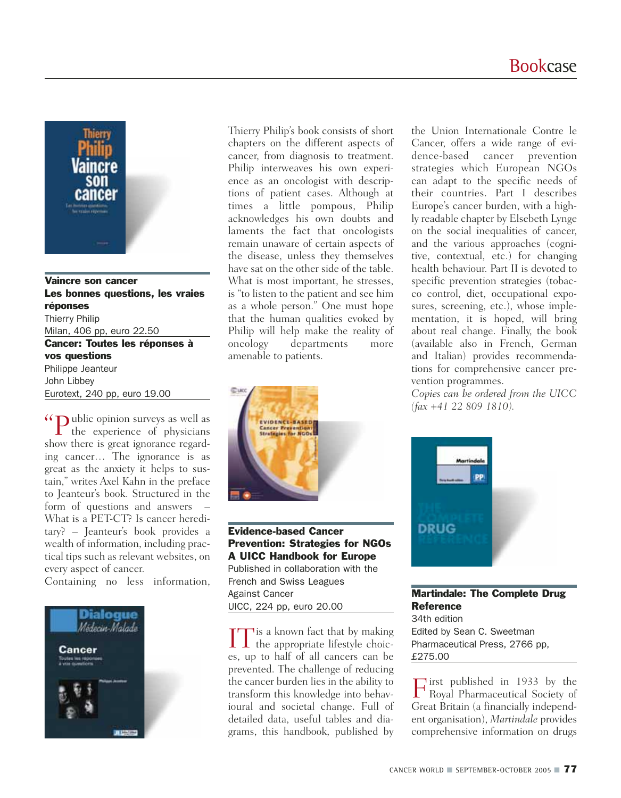

## Vaincre son cancer Les bonnes questions, les vraies réponses Thierry Philip Milan, 406 pp, euro 22.50 Cancer: Toutes les réponses à vos questions Philippe Jeanteur John Libbey Eurotext, 240 pp, euro 19.00

"Public opinion surveys as well as the experience of physicians show there is great ignorance regarding cancer… The ignorance is as great as the anxiety it helps to sustain," writes Axel Kahn in the preface to Jeanteur's book. Structured in the form of questions and answers What is a PET-CT? Is cancer hereditary? – Jeanteur's book provides a wealth of information, including practical tips such as relevant websites, on every aspect of cancer.

Containing no less information,



Thierry Philip's book consists of short chapters on the different aspects of cancer, from diagnosis to treatment. Philip interweaves his own experience as an oncologist with descriptions of patient cases. Although at times a little pompous, Philip acknowledges his own doubts and laments the fact that oncologists remain unaware of certain aspects of the disease, unless they themselves have sat on the other side of the table. What is most important, he stresses, is "to listen to the patient and see him as a whole person." One must hope that the human qualities evoked by Philip will help make the reality of oncology departments more amenable to patients.



Evidence-based Cancer Prevention: Strategies for NGOs A UICC Handbook for Europe Published in collaboration with the French and Swiss Leagues Against Cancer UICC, 224 pp, euro 20.00

 $\prod$  is a known fact that by making<br>the appropriate lifestyle choices, up to half of all cancers can be prevented. The challenge of reducing the cancer burden lies in the ability to transform this knowledge into behavioural and societal change. Full of detailed data, useful tables and diagrams, this handbook, published by

the Union Internationale Contre le Cancer, offers a wide range of evidence-based cancer prevention strategies which European NGOs can adapt to the specific needs of their countries. Part I describes Europe's cancer burden, with a highly readable chapter by Elsebeth Lynge on the social inequalities of cancer, and the various approaches (cognitive, contextual, etc.) for changing health behaviour. Part II is devoted to specific prevention strategies (tobacco control, diet, occupational exposures, screening, etc.), whose implementation, it is hoped, will bring about real change. Finally, the book (available also in French, German and Italian) provides recommendations for comprehensive cancer prevention programmes.

*Copies can be ordered from the UICC (fax +41 22 809 1810).*



Martindale: The Complete Drug **Reference** 34th edition Edited by Sean C. Sweetman Pharmaceutical Press, 2766 pp, £275.00

First published in 1933 by the Royal Pharmaceutical Society of Great Britain (a financially independent organisation), *Martindale* provides comprehensive information on drugs